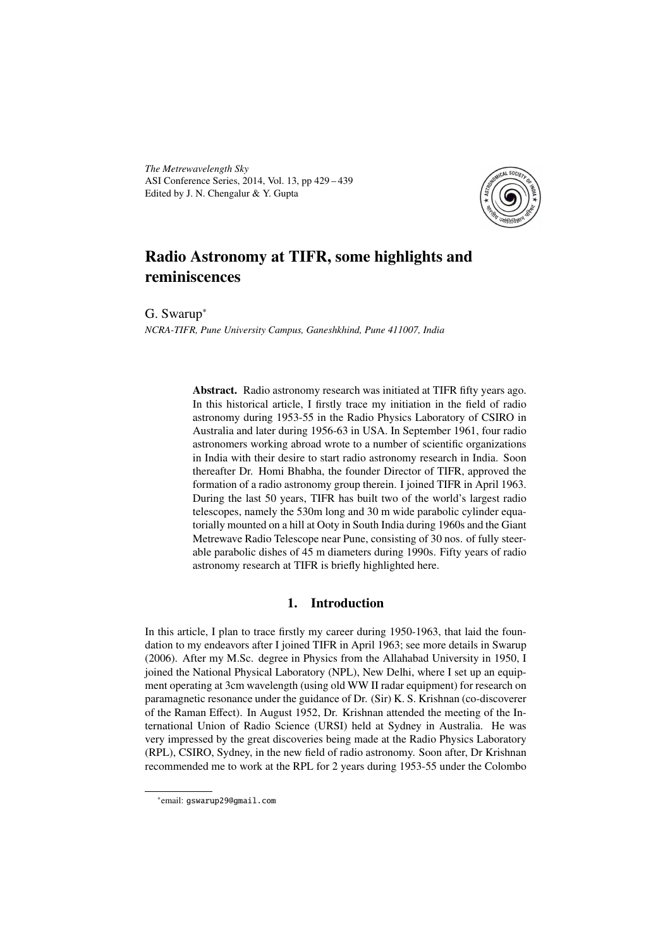*The Metrewavelength Sky* ASI Conference Series, 2014, Vol. 13, pp 429 – 439 Edited by J. N. Chengalur & Y. Gupta



# Radio Astronomy at TIFR, some highlights and reminiscences

G. Swarup<sup>∗</sup>

*NCRA-TIFR, Pune University Campus, Ganeshkhind, Pune 411007, India*

Abstract. Radio astronomy research was initiated at TIFR fifty years ago. In this historical article, I firstly trace my initiation in the field of radio astronomy during 1953-55 in the Radio Physics Laboratory of CSIRO in Australia and later during 1956-63 in USA. In September 1961, four radio astronomers working abroad wrote to a number of scientific organizations in India with their desire to start radio astronomy research in India. Soon thereafter Dr. Homi Bhabha, the founder Director of TIFR, approved the formation of a radio astronomy group therein. I joined TIFR in April 1963. During the last 50 years, TIFR has built two of the world's largest radio telescopes, namely the 530m long and 30 m wide parabolic cylinder equatorially mounted on a hill at Ooty in South India during 1960s and the Giant Metrewave Radio Telescope near Pune, consisting of 30 nos. of fully steerable parabolic dishes of 45 m diameters during 1990s. Fifty years of radio astronomy research at TIFR is briefly highlighted here.

# 1. Introduction

In this article, I plan to trace firstly my career during 1950-1963, that laid the foundation to my endeavors after I joined TIFR in April 1963; see more details in Swarup (2006). After my M.Sc. degree in Physics from the Allahabad University in 1950, I joined the National Physical Laboratory (NPL), New Delhi, where I set up an equipment operating at 3cm wavelength (using old WW II radar equipment) for research on paramagnetic resonance under the guidance of Dr. (Sir) K. S. Krishnan (co-discoverer of the Raman Effect). In August 1952, Dr. Krishnan attended the meeting of the International Union of Radio Science (URSI) held at Sydney in Australia. He was very impressed by the great discoveries being made at the Radio Physics Laboratory (RPL), CSIRO, Sydney, in the new field of radio astronomy. Soon after, Dr Krishnan recommended me to work at the RPL for 2 years during 1953-55 under the Colombo

<sup>∗</sup> email: gswarup29@gmail.com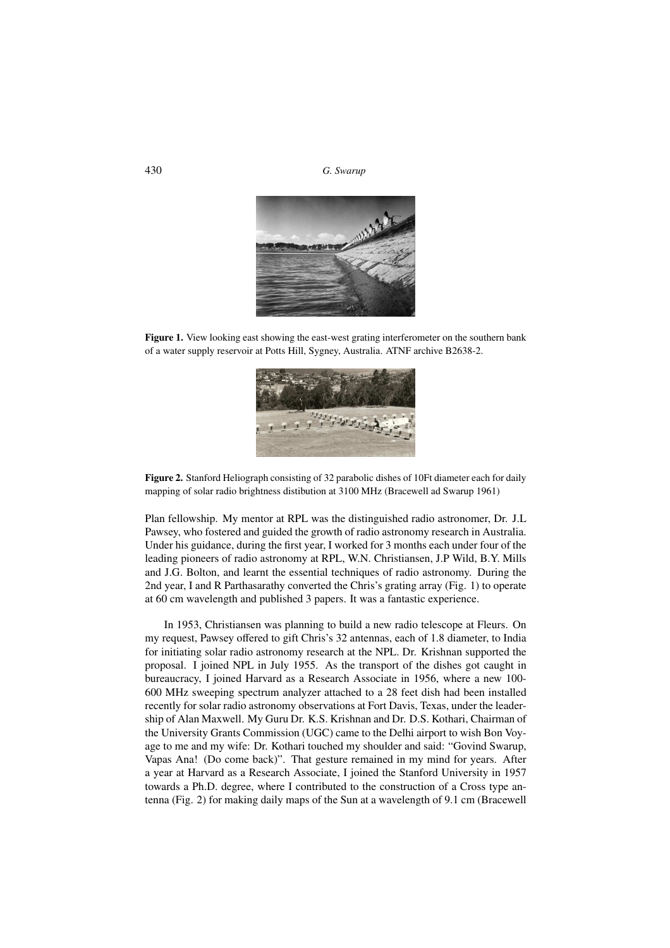

Figure 1. View looking east showing the east-west grating interferometer on the southern bank of a water supply reservoir at Potts Hill, Sygney, Australia. ATNF archive B2638-2.



Figure 2. Stanford Heliograph consisting of 32 parabolic dishes of 10Ft diameter each for daily mapping of solar radio brightness distibution at 3100 MHz (Bracewell ad Swarup 1961)

Plan fellowship. My mentor at RPL was the distinguished radio astronomer, Dr. J.L Pawsey, who fostered and guided the growth of radio astronomy research in Australia. Under his guidance, during the first year, I worked for 3 months each under four of the leading pioneers of radio astronomy at RPL, W.N. Christiansen, J.P Wild, B.Y. Mills and J.G. Bolton, and learnt the essential techniques of radio astronomy. During the 2nd year, I and R Parthasarathy converted the Chris's grating array (Fig. 1) to operate at 60 cm wavelength and published 3 papers. It was a fantastic experience.

In 1953, Christiansen was planning to build a new radio telescope at Fleurs. On my request, Pawsey offered to gift Chris's 32 antennas, each of 1.8 diameter, to India for initiating solar radio astronomy research at the NPL. Dr. Krishnan supported the proposal. I joined NPL in July 1955. As the transport of the dishes got caught in bureaucracy, I joined Harvard as a Research Associate in 1956, where a new 100- 600 MHz sweeping spectrum analyzer attached to a 28 feet dish had been installed recently for solar radio astronomy observations at Fort Davis, Texas, under the leadership of Alan Maxwell. My Guru Dr. K.S. Krishnan and Dr. D.S. Kothari, Chairman of the University Grants Commission (UGC) came to the Delhi airport to wish Bon Voyage to me and my wife: Dr. Kothari touched my shoulder and said: "Govind Swarup, Vapas Ana! (Do come back)". That gesture remained in my mind for years. After a year at Harvard as a Research Associate, I joined the Stanford University in 1957 towards a Ph.D. degree, where I contributed to the construction of a Cross type antenna (Fig. 2) for making daily maps of the Sun at a wavelength of 9.1 cm (Bracewell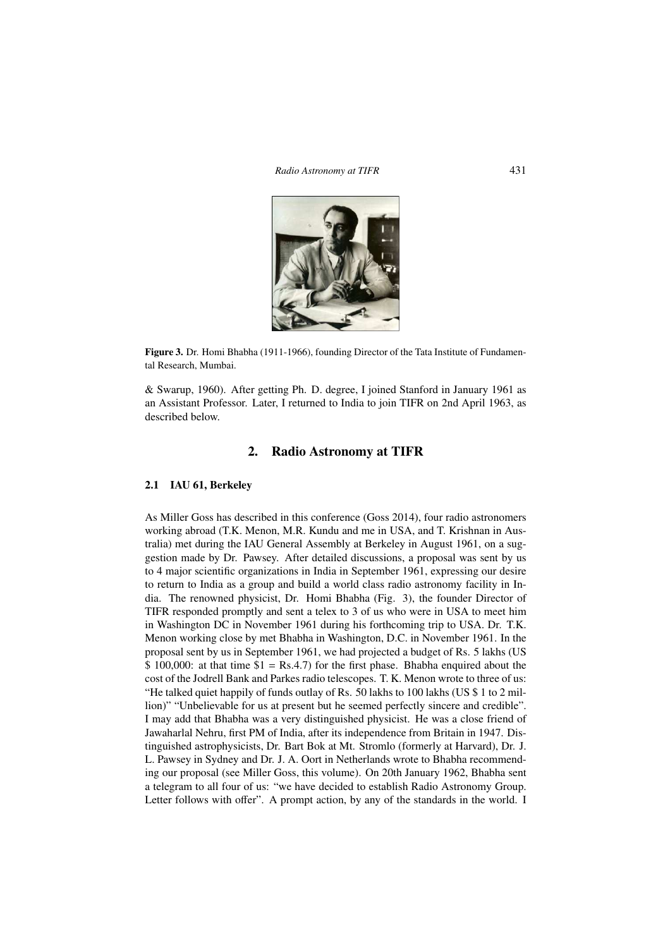*Radio Astronomy at TIFR* 431



Figure 3. Dr. Homi Bhabha (1911-1966), founding Director of the Tata Institute of Fundamental Research, Mumbai.

& Swarup, 1960). After getting Ph. D. degree, I joined Stanford in January 1961 as an Assistant Professor. Later, I returned to India to join TIFR on 2nd April 1963, as described below.

# 2. Radio Astronomy at TIFR

#### 2.1 IAU 61, Berkeley

As Miller Goss has described in this conference (Goss 2014), four radio astronomers working abroad (T.K. Menon, M.R. Kundu and me in USA, and T. Krishnan in Australia) met during the IAU General Assembly at Berkeley in August 1961, on a suggestion made by Dr. Pawsey. After detailed discussions, a proposal was sent by us to 4 major scientific organizations in India in September 1961, expressing our desire to return to India as a group and build a world class radio astronomy facility in India. The renowned physicist, Dr. Homi Bhabha (Fig. 3), the founder Director of TIFR responded promptly and sent a telex to 3 of us who were in USA to meet him in Washington DC in November 1961 during his forthcoming trip to USA. Dr. T.K. Menon working close by met Bhabha in Washington, D.C. in November 1961. In the proposal sent by us in September 1961, we had projected a budget of Rs. 5 lakhs (US  $$ 100,000$ : at that time  $$1 = Rs.4.7$  for the first phase. Bhabha enquired about the cost of the Jodrell Bank and Parkes radio telescopes. T. K. Menon wrote to three of us: "He talked quiet happily of funds outlay of Rs. 50 lakhs to 100 lakhs (US \$ 1 to 2 million)" "Unbelievable for us at present but he seemed perfectly sincere and credible". I may add that Bhabha was a very distinguished physicist. He was a close friend of Jawaharlal Nehru, first PM of India, after its independence from Britain in 1947. Distinguished astrophysicists, Dr. Bart Bok at Mt. Stromlo (formerly at Harvard), Dr. J. L. Pawsey in Sydney and Dr. J. A. Oort in Netherlands wrote to Bhabha recommending our proposal (see Miller Goss, this volume). On 20th January 1962, Bhabha sent a telegram to all four of us: "we have decided to establish Radio Astronomy Group. Letter follows with offer". A prompt action, by any of the standards in the world. I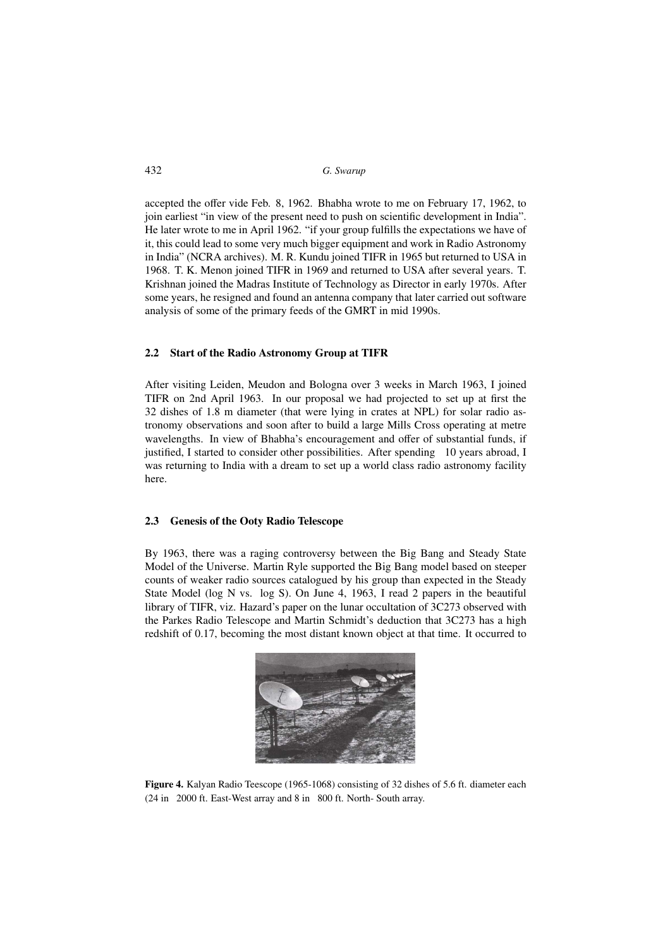accepted the offer vide Feb. 8, 1962. Bhabha wrote to me on February 17, 1962, to join earliest "in view of the present need to push on scientific development in India". He later wrote to me in April 1962. "if your group fulfills the expectations we have of it, this could lead to some very much bigger equipment and work in Radio Astronomy in India" (NCRA archives). M. R. Kundu joined TIFR in 1965 but returned to USA in 1968. T. K. Menon joined TIFR in 1969 and returned to USA after several years. T. Krishnan joined the Madras Institute of Technology as Director in early 1970s. After some years, he resigned and found an antenna company that later carried out software analysis of some of the primary feeds of the GMRT in mid 1990s.

#### 2.2 Start of the Radio Astronomy Group at TIFR

After visiting Leiden, Meudon and Bologna over 3 weeks in March 1963, I joined TIFR on 2nd April 1963. In our proposal we had projected to set up at first the 32 dishes of 1.8 m diameter (that were lying in crates at NPL) for solar radio astronomy observations and soon after to build a large Mills Cross operating at metre wavelengths. In view of Bhabha's encouragement and offer of substantial funds, if justified, I started to consider other possibilities. After spending 10 years abroad, I was returning to India with a dream to set up a world class radio astronomy facility here.

#### 2.3 Genesis of the Ooty Radio Telescope

By 1963, there was a raging controversy between the Big Bang and Steady State Model of the Universe. Martin Ryle supported the Big Bang model based on steeper counts of weaker radio sources catalogued by his group than expected in the Steady State Model (log N vs. log S). On June 4, 1963, I read 2 papers in the beautiful library of TIFR, viz. Hazard's paper on the lunar occultation of 3C273 observed with the Parkes Radio Telescope and Martin Schmidt's deduction that 3C273 has a high redshift of 0.17, becoming the most distant known object at that time. It occurred to



Figure 4. Kalyan Radio Teescope (1965-1068) consisting of 32 dishes of 5.6 ft. diameter each (24 in 2000 ft. East-West array and 8 in 800 ft. North- South array.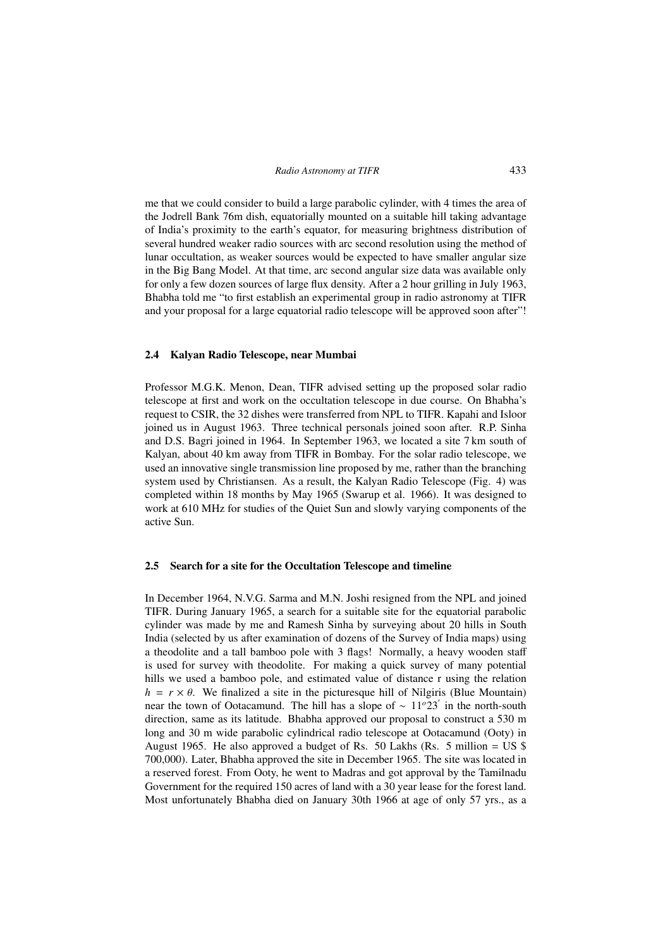me that we could consider to build a large parabolic cylinder, with 4 times the area of the Jodrell Bank 76m dish, equatorially mounted on a suitable hill taking advantage of India's proximity to the earth's equator, for measuring brightness distribution of several hundred weaker radio sources with arc second resolution using the method of lunar occultation, as weaker sources would be expected to have smaller angular size in the Big Bang Model. At that time, arc second angular size data was available only for only a few dozen sources of large flux density. After a 2 hour grilling in July 1963, Bhabha told me "to first establish an experimental group in radio astronomy at TIFR and your proposal for a large equatorial radio telescope will be approved soon after"!

#### 2.4 Kalyan Radio Telescope, near Mumbai

Professor M.G.K. Menon, Dean, TIFR advised setting up the proposed solar radio telescope at first and work on the occultation telescope in due course. On Bhabha's request to CSIR, the 32 dishes were transferred from NPL to TIFR. Kapahi and Isloor joined us in August 1963. Three technical personals joined soon after. R.P. Sinha and D.S. Bagri joined in 1964. In September 1963, we located a site 7 km south of Kalyan, about 40 km away from TIFR in Bombay. For the solar radio telescope, we used an innovative single transmission line proposed by me, rather than the branching system used by Christiansen. As a result, the Kalyan Radio Telescope (Fig. 4) was completed within 18 months by May 1965 (Swarup et al. 1966). It was designed to work at 610 MHz for studies of the Quiet Sun and slowly varying components of the active Sun.

#### 2.5 Search for a site for the Occultation Telescope and timeline

In December 1964, N.V.G. Sarma and M.N. Joshi resigned from the NPL and joined TIFR. During January 1965, a search for a suitable site for the equatorial parabolic cylinder was made by me and Ramesh Sinha by surveying about 20 hills in South India (selected by us after examination of dozens of the Survey of India maps) using a theodolite and a tall bamboo pole with 3 flags! Normally, a heavy wooden staff is used for survey with theodolite. For making a quick survey of many potential hills we used a bamboo pole, and estimated value of distance r using the relation  $h = r \times \theta$ . We finalized a site in the picturesque hill of Nilgiris (Blue Mountain) near the town of Ootacamund. The hill has a slope of ~ 11<sup>o</sup>23<sup>'</sup> in the north-south direction, same as its latitude. Bhabha approved our proposal to construct a 530 m long and 30 m wide parabolic cylindrical radio telescope at Ootacamund (Ooty) in August 1965. He also approved a budget of Rs. 50 Lakhs (Rs. 5 million = US \$) 700,000). Later, Bhabha approved the site in December 1965. The site was located in a reserved forest. From Ooty, he went to Madras and got approval by the Tamilnadu Government for the required 150 acres of land with a 30 year lease for the forest land. Most unfortunately Bhabha died on January 30th 1966 at age of only 57 yrs., as a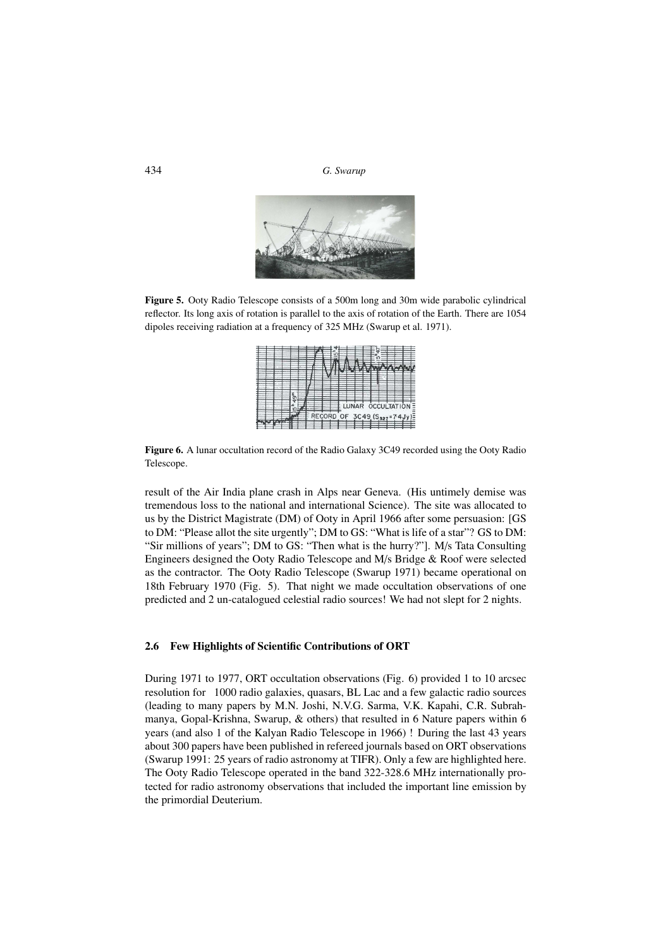434 *G. Swarup*



Figure 5. Ooty Radio Telescope consists of a 500m long and 30m wide parabolic cylindrical reflector. Its long axis of rotation is parallel to the axis of rotation of the Earth. There are 1054 dipoles receiving radiation at a frequency of 325 MHz (Swarup et al. 1971).

|  |  | σ |  |            |  |   |              |  |  |                                                    |  |
|--|--|---|--|------------|--|---|--------------|--|--|----------------------------------------------------|--|
|  |  |   |  | <b>REC</b> |  | U | <b>LUNAR</b> |  |  | <b>OCCULTATION</b><br>$3C49$ (S <sub>327</sub> =74 |  |

Figure 6. A lunar occultation record of the Radio Galaxy 3C49 recorded using the Ooty Radio Telescope.

result of the Air India plane crash in Alps near Geneva. (His untimely demise was tremendous loss to the national and international Science). The site was allocated to us by the District Magistrate (DM) of Ooty in April 1966 after some persuasion: [GS to DM: "Please allot the site urgently"; DM to GS: "What is life of a star"? GS to DM: "Sir millions of years"; DM to GS: "Then what is the hurry?"]. M/s Tata Consulting Engineers designed the Ooty Radio Telescope and M/s Bridge & Roof were selected as the contractor. The Ooty Radio Telescope (Swarup 1971) became operational on 18th February 1970 (Fig. 5). That night we made occultation observations of one predicted and 2 un-catalogued celestial radio sources! We had not slept for 2 nights.

# 2.6 Few Highlights of Scientific Contributions of ORT

During 1971 to 1977, ORT occultation observations (Fig. 6) provided 1 to 10 arcsec resolution for 1000 radio galaxies, quasars, BL Lac and a few galactic radio sources (leading to many papers by M.N. Joshi, N.V.G. Sarma, V.K. Kapahi, C.R. Subrahmanya, Gopal-Krishna, Swarup, & others) that resulted in 6 Nature papers within 6 years (and also 1 of the Kalyan Radio Telescope in 1966) ! During the last 43 years about 300 papers have been published in refereed journals based on ORT observations (Swarup 1991: 25 years of radio astronomy at TIFR). Only a few are highlighted here. The Ooty Radio Telescope operated in the band 322-328.6 MHz internationally protected for radio astronomy observations that included the important line emission by the primordial Deuterium.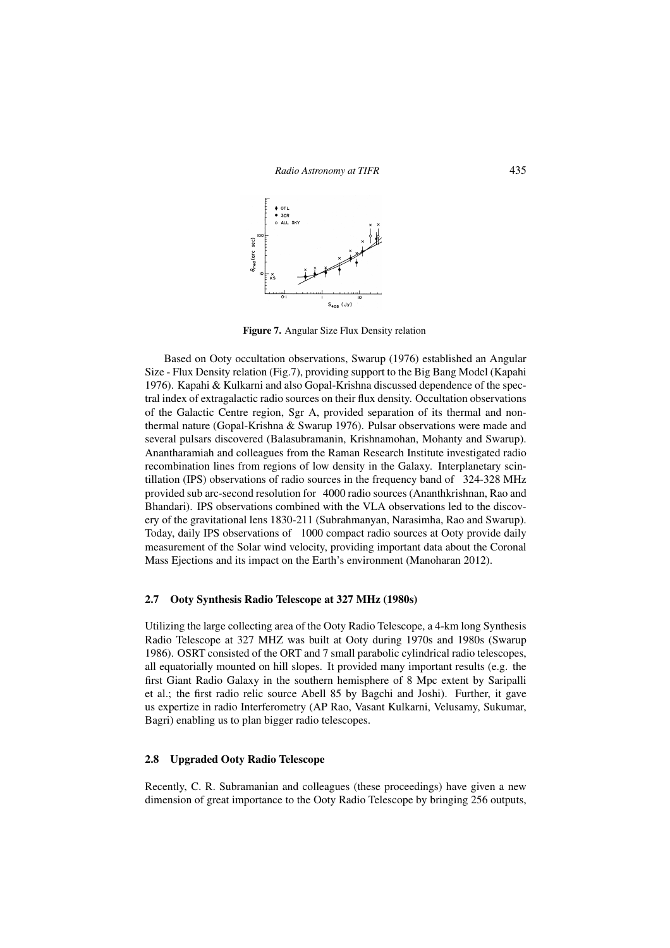

Figure 7. Angular Size Flux Density relation

Based on Ooty occultation observations, Swarup (1976) established an Angular Size - Flux Density relation (Fig.7), providing support to the Big Bang Model (Kapahi 1976). Kapahi & Kulkarni and also Gopal-Krishna discussed dependence of the spectral index of extragalactic radio sources on their flux density. Occultation observations of the Galactic Centre region, Sgr A, provided separation of its thermal and nonthermal nature (Gopal-Krishna & Swarup 1976). Pulsar observations were made and several pulsars discovered (Balasubramanin, Krishnamohan, Mohanty and Swarup). Anantharamiah and colleagues from the Raman Research Institute investigated radio recombination lines from regions of low density in the Galaxy. Interplanetary scintillation (IPS) observations of radio sources in the frequency band of 324-328 MHz provided sub arc-second resolution for 4000 radio sources (Ananthkrishnan, Rao and Bhandari). IPS observations combined with the VLA observations led to the discovery of the gravitational lens 1830-211 (Subrahmanyan, Narasimha, Rao and Swarup). Today, daily IPS observations of 1000 compact radio sources at Ooty provide daily measurement of the Solar wind velocity, providing important data about the Coronal Mass Ejections and its impact on the Earth's environment (Manoharan 2012).

#### 2.7 Ooty Synthesis Radio Telescope at 327 MHz (1980s)

Utilizing the large collecting area of the Ooty Radio Telescope, a 4-km long Synthesis Radio Telescope at 327 MHZ was built at Ooty during 1970s and 1980s (Swarup 1986). OSRT consisted of the ORT and 7 small parabolic cylindrical radio telescopes, all equatorially mounted on hill slopes. It provided many important results (e.g. the first Giant Radio Galaxy in the southern hemisphere of 8 Mpc extent by Saripalli et al.; the first radio relic source Abell 85 by Bagchi and Joshi). Further, it gave us expertize in radio Interferometry (AP Rao, Vasant Kulkarni, Velusamy, Sukumar, Bagri) enabling us to plan bigger radio telescopes.

# 2.8 Upgraded Ooty Radio Telescope

Recently, C. R. Subramanian and colleagues (these proceedings) have given a new dimension of great importance to the Ooty Radio Telescope by bringing 256 outputs,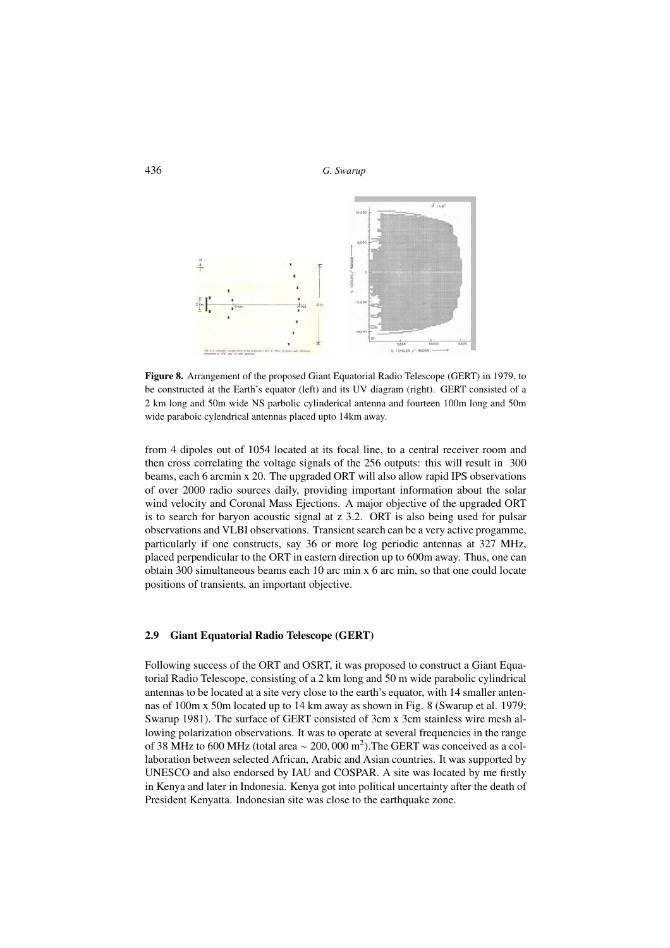

Figure 8. Arrangement of the proposed Giant Equatorial Radio Telescope (GERT) in 1979, to be constructed at the Earth's equator (left) and its UV diagram (right). GERT consisted of a 2 km long and 50m wide NS parbolic cylinderical antenna and fourteen 100m long and 50m wide paraboic cylendrical antennas placed upto 14km away.

from 4 dipoles out of 1054 located at its focal line, to a central receiver room and then cross correlating the voltage signals of the 256 outputs: this will result in 300 beams, each 6 arcmin x 20. The upgraded ORT will also allow rapid IPS observations of over 2000 radio sources daily, providing important information about the solar wind velocity and Coronal Mass Ejections. A major objective of the upgraded ORT is to search for baryon acoustic signal at z 3.2. ORT is also being used for pulsar observations and VLBI observations. Transient search can be a very active progamme, particularly if one constructs, say 36 or more log periodic antennas at 327 MHz, placed perpendicular to the ORT in eastern direction up to 600m away. Thus, one can obtain 300 simultaneous beams each 10 arc min x 6 arc min, so that one could locate positions of transients, an important objective.

#### 2.9 Giant Equatorial Radio Telescope (GERT)

Following success of the ORT and OSRT, it was proposed to construct a Giant Equatorial Radio Telescope, consisting of a 2 km long and 50 m wide parabolic cylindrical antennas to be located at a site very close to the earth's equator, with 14 smaller antennas of 100m x 50m located up to 14 km away as shown in Fig. 8 (Swarup et al. 1979; Swarup 1981). The surface of GERT consisted of 3cm x 3cm stainless wire mesh allowing polarization observations. It was to operate at several frequencies in the range of 38 MHz to 600 MHz (total area  $\sim 200,000$  m<sup>2</sup>). The GERT was conceived as a collaboration between selected African, Arabic and Asian countries. It was supported by UNESCO and also endorsed by IAU and COSPAR. A site was located by me firstly in Kenya and later in Indonesia. Kenya got into political uncertainty after the death of President Kenyatta. Indonesian site was close to the earthquake zone.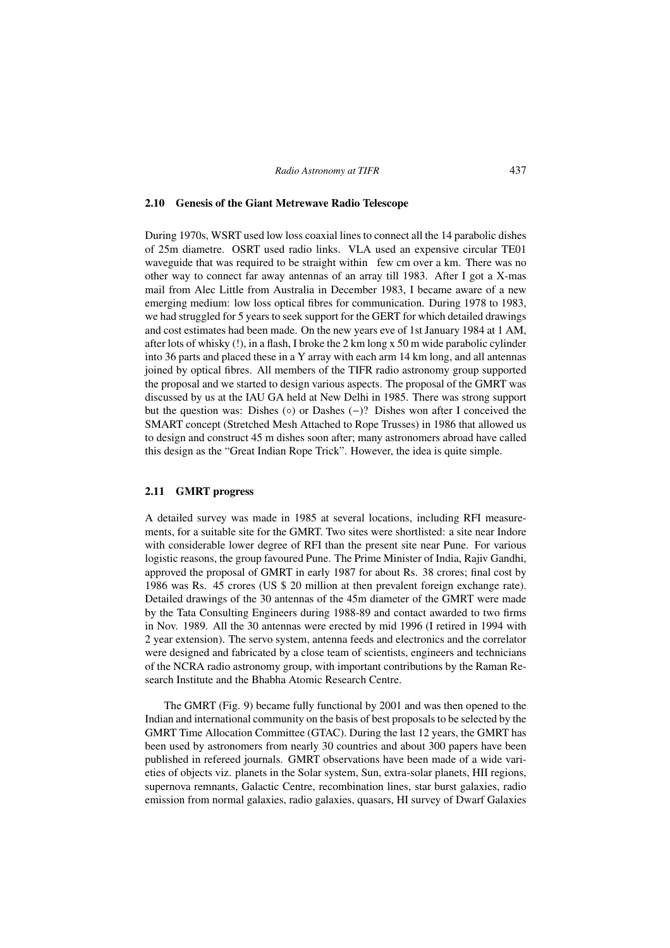#### 2.10 Genesis of the Giant Metrewave Radio Telescope

During 1970s, WSRT used low loss coaxial lines to connect all the 14 parabolic dishes of 25m diametre. OSRT used radio links. VLA used an expensive circular TE01 waveguide that was required to be straight within few cm over a km. There was no other way to connect far away antennas of an array till 1983. After I got a X-mas mail from Alec Little from Australia in December 1983, I became aware of a new emerging medium: low loss optical fibres for communication. During 1978 to 1983, we had struggled for 5 years to seek support for the GERT for which detailed drawings and cost estimates had been made. On the new years eve of 1st January 1984 at 1 AM, after lots of whisky (!), in a flash, I broke the 2 km long x 50 m wide parabolic cylinder into 36 parts and placed these in a Y array with each arm 14 km long, and all antennas joined by optical fibres. All members of the TIFR radio astronomy group supported the proposal and we started to design various aspects. The proposal of the GMRT was discussed by us at the IAU GA held at New Delhi in 1985. There was strong support but the question was: Dishes (◦) or Dashes (−)? Dishes won after I conceived the SMART concept (Stretched Mesh Attached to Rope Trusses) in 1986 that allowed us to design and construct 45 m dishes soon after; many astronomers abroad have called this design as the "Great Indian Rope Trick". However, the idea is quite simple.

# 2.11 GMRT progress

A detailed survey was made in 1985 at several locations, including RFI measurements, for a suitable site for the GMRT. Two sites were shortlisted: a site near Indore with considerable lower degree of RFI than the present site near Pune. For various logistic reasons, the group favoured Pune. The Prime Minister of India, Rajiv Gandhi, approved the proposal of GMRT in early 1987 for about Rs. 38 crores; final cost by 1986 was Rs. 45 crores (US \$ 20 million at then prevalent foreign exchange rate). Detailed drawings of the 30 antennas of the 45m diameter of the GMRT were made by the Tata Consulting Engineers during 1988-89 and contact awarded to two firms in Nov. 1989. All the 30 antennas were erected by mid 1996 (I retired in 1994 with 2 year extension). The servo system, antenna feeds and electronics and the correlator were designed and fabricated by a close team of scientists, engineers and technicians of the NCRA radio astronomy group, with important contributions by the Raman Research Institute and the Bhabha Atomic Research Centre.

The GMRT (Fig. 9) became fully functional by 2001 and was then opened to the Indian and international community on the basis of best proposals to be selected by the GMRT Time Allocation Committee (GTAC). During the last 12 years, the GMRT has been used by astronomers from nearly 30 countries and about 300 papers have been published in refereed journals. GMRT observations have been made of a wide varieties of objects viz. planets in the Solar system, Sun, extra-solar planets, HII regions, supernova remnants, Galactic Centre, recombination lines, star burst galaxies, radio emission from normal galaxies, radio galaxies, quasars, HI survey of Dwarf Galaxies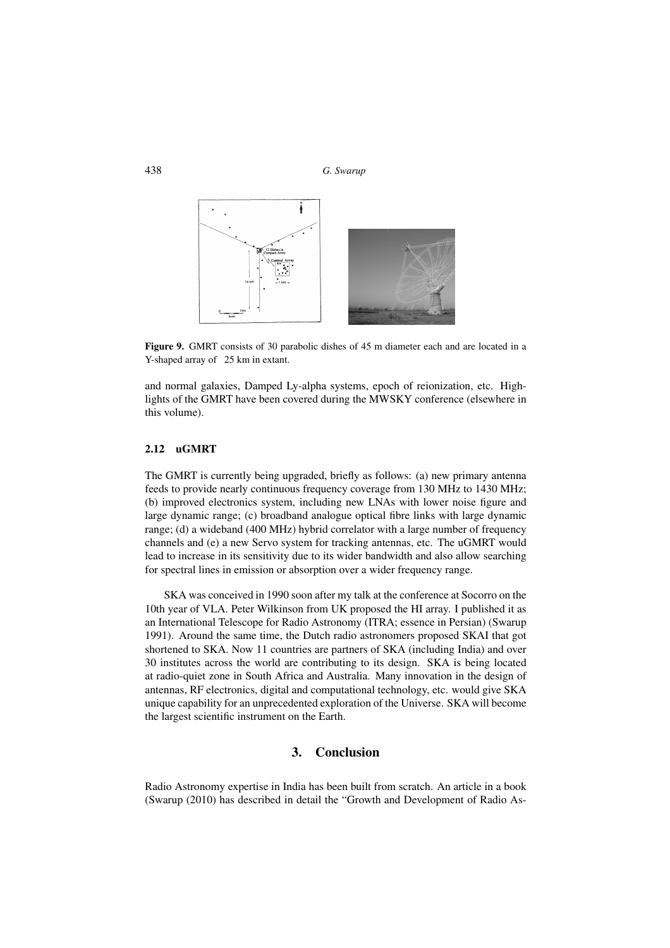

Figure 9. GMRT consists of 30 parabolic dishes of 45 m diameter each and are located in a Y-shaped array of 25 km in extant.

and normal galaxies, Damped Ly-alpha systems, epoch of reionization, etc. Highlights of the GMRT have been covered during the MWSKY conference (elsewhere in this volume).

# 2.12 uGMRT

The GMRT is currently being upgraded, briefly as follows: (a) new primary antenna feeds to provide nearly continuous frequency coverage from 130 MHz to 1430 MHz; (b) improved electronics system, including new LNAs with lower noise figure and large dynamic range; (c) broadband analogue optical fibre links with large dynamic range; (d) a wideband (400 MHz) hybrid correlator with a large number of frequency channels and (e) a new Servo system for tracking antennas, etc. The uGMRT would lead to increase in its sensitivity due to its wider bandwidth and also allow searching for spectral lines in emission or absorption over a wider frequency range.

SKA was conceived in 1990 soon after my talk at the conference at Socorro on the 10th year of VLA. Peter Wilkinson from UK proposed the HI array. I published it as an International Telescope for Radio Astronomy (ITRA; essence in Persian) (Swarup 1991). Around the same time, the Dutch radio astronomers proposed SKAI that got shortened to SKA. Now 11 countries are partners of SKA (including India) and over 30 institutes across the world are contributing to its design. SKA is being located at radio-quiet zone in South Africa and Australia. Many innovation in the design of antennas, RF electronics, digital and computational technology, etc. would give SKA unique capability for an unprecedented exploration of the Universe. SKA will become the largest scientific instrument on the Earth.

# 3. Conclusion

Radio Astronomy expertise in India has been built from scratch. An article in a book (Swarup (2010) has described in detail the "Growth and Development of Radio As-